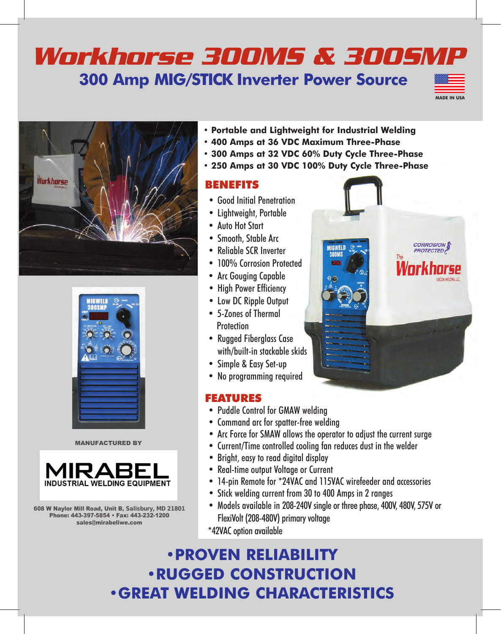## *Workhorse 300MS & 300SMP* **300 Amp MIG/STICK Inverter Power Source**







MANUFACTURED BY



608 W Naylor Mill Road, Unit B, Salisbury, MD 21801 Phone: 443-397-5854 • Fax: 443-232-1200 sales@mirabeliwe.com

- **• Portable and Lightweight for Industrial Welding**
- **• 400 Amps at 36 VDC Maximum Three-Phase**
- **• 300 Amps at 32 VDC 60% Duty Cycle Three-Phase**
- **• 250 Amps at 30 VDC 100% Duty Cycle Three-Phase**

## BENEFITS

- Good Initial Penetration
- Lightweight, Portable
- Auto Hot Start
- Smooth, Stable Arc
- Reliable SCR Inverter
- 100% Corrosion Protected
- Arc Gouging Capable
- High Power Efficiency
- Low DC Ripple Output
- 5-Zones of Thermal **Protection**
- Rugged Fiberglass Case with/built-in stackable skids
- Simple & Easy Set-up
- No programming required

## FEATURES

- Puddle Control for GMAW welding
- Command arc for spatter-free welding
- Arc Force for SMAW allows the operator to adjust the current surge
- Current/Time controlled cooling fan reduces dust in the welder
- Bright, easy to read digital display
- Real-time output Voltage or Current
- 14-pin Remote for \*24VAC and 115VAC wirefeeder and accessories
- Stick welding current from 30 to 400 Amps in 2 ranges
- Models available in 208-240V single or three phase, 400V, 480V, 575V or FlexiVolt (208-480V) primary voltage
- \*42VAC option available

**•PROVEN RELIABILITY •RUGGED CONSTRUCTION •GREAT WELDING CHARACTERISTICS**